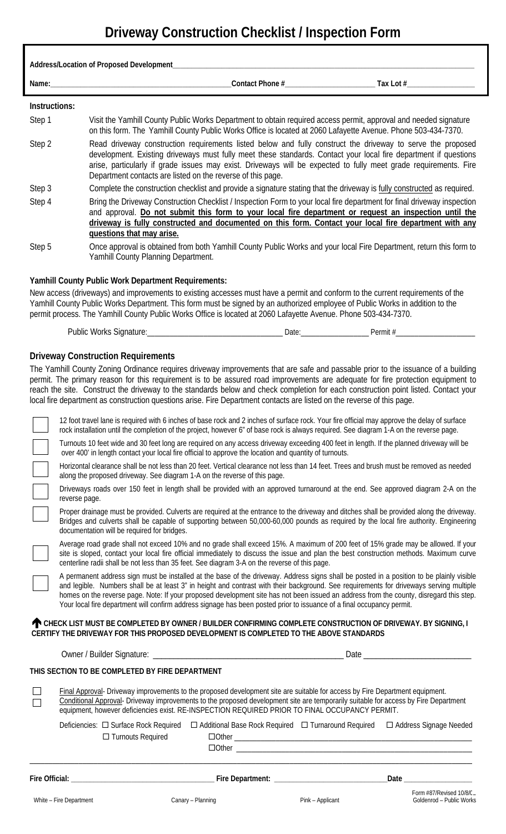# **Driveway Construction Checklist / Inspection Form**

| Address/Location of Proposed Development_______________________ |                                                                                                                                                                                                                                                                                                                                                                                                                                                                                                                                                                                                                                                                                                                                                                                                                                                                                                                                                                                                                                                                                                                                                                                                                                                                                                                                                                                                                                                                                                                                                                                                                                                                                                                                                                                                                                                                                                                                                                                                                                                                                                                                                                                                                                                                                                                                                                                                                                                                                                                                                                                                                       |                                                                                                                                                                                                                                                                                                                                                                                                                    |                                                                                                                     |  |
|-----------------------------------------------------------------|-----------------------------------------------------------------------------------------------------------------------------------------------------------------------------------------------------------------------------------------------------------------------------------------------------------------------------------------------------------------------------------------------------------------------------------------------------------------------------------------------------------------------------------------------------------------------------------------------------------------------------------------------------------------------------------------------------------------------------------------------------------------------------------------------------------------------------------------------------------------------------------------------------------------------------------------------------------------------------------------------------------------------------------------------------------------------------------------------------------------------------------------------------------------------------------------------------------------------------------------------------------------------------------------------------------------------------------------------------------------------------------------------------------------------------------------------------------------------------------------------------------------------------------------------------------------------------------------------------------------------------------------------------------------------------------------------------------------------------------------------------------------------------------------------------------------------------------------------------------------------------------------------------------------------------------------------------------------------------------------------------------------------------------------------------------------------------------------------------------------------------------------------------------------------------------------------------------------------------------------------------------------------------------------------------------------------------------------------------------------------------------------------------------------------------------------------------------------------------------------------------------------------------------------------------------------------------------------------------------------------|--------------------------------------------------------------------------------------------------------------------------------------------------------------------------------------------------------------------------------------------------------------------------------------------------------------------------------------------------------------------------------------------------------------------|---------------------------------------------------------------------------------------------------------------------|--|
|                                                                 |                                                                                                                                                                                                                                                                                                                                                                                                                                                                                                                                                                                                                                                                                                                                                                                                                                                                                                                                                                                                                                                                                                                                                                                                                                                                                                                                                                                                                                                                                                                                                                                                                                                                                                                                                                                                                                                                                                                                                                                                                                                                                                                                                                                                                                                                                                                                                                                                                                                                                                                                                                                                                       |                                                                                                                                                                                                                                                                                                                                                                                                                    |                                                                                                                     |  |
|                                                                 | Instructions:                                                                                                                                                                                                                                                                                                                                                                                                                                                                                                                                                                                                                                                                                                                                                                                                                                                                                                                                                                                                                                                                                                                                                                                                                                                                                                                                                                                                                                                                                                                                                                                                                                                                                                                                                                                                                                                                                                                                                                                                                                                                                                                                                                                                                                                                                                                                                                                                                                                                                                                                                                                                         |                                                                                                                                                                                                                                                                                                                                                                                                                    |                                                                                                                     |  |
| Step 1                                                          |                                                                                                                                                                                                                                                                                                                                                                                                                                                                                                                                                                                                                                                                                                                                                                                                                                                                                                                                                                                                                                                                                                                                                                                                                                                                                                                                                                                                                                                                                                                                                                                                                                                                                                                                                                                                                                                                                                                                                                                                                                                                                                                                                                                                                                                                                                                                                                                                                                                                                                                                                                                                                       | Visit the Yamhill County Public Works Department to obtain required access permit, approval and needed signature<br>on this form. The Yamhill County Public Works Office is located at 2060 Lafayette Avenue. Phone 503-434-7370.                                                                                                                                                                                  |                                                                                                                     |  |
| Step 2                                                          |                                                                                                                                                                                                                                                                                                                                                                                                                                                                                                                                                                                                                                                                                                                                                                                                                                                                                                                                                                                                                                                                                                                                                                                                                                                                                                                                                                                                                                                                                                                                                                                                                                                                                                                                                                                                                                                                                                                                                                                                                                                                                                                                                                                                                                                                                                                                                                                                                                                                                                                                                                                                                       | Read driveway construction requirements listed below and fully construct the driveway to serve the proposed<br>development. Existing driveways must fully meet these standards. Contact your local fire department if questions<br>arise, particularly if grade issues may exist. Driveways will be expected to fully meet grade requirements. Fire<br>Department contacts are listed on the reverse of this page. |                                                                                                                     |  |
| Step 3                                                          |                                                                                                                                                                                                                                                                                                                                                                                                                                                                                                                                                                                                                                                                                                                                                                                                                                                                                                                                                                                                                                                                                                                                                                                                                                                                                                                                                                                                                                                                                                                                                                                                                                                                                                                                                                                                                                                                                                                                                                                                                                                                                                                                                                                                                                                                                                                                                                                                                                                                                                                                                                                                                       | Complete the construction checklist and provide a signature stating that the driveway is fully constructed as required.                                                                                                                                                                                                                                                                                            |                                                                                                                     |  |
| Step 4                                                          | questions that may arise.                                                                                                                                                                                                                                                                                                                                                                                                                                                                                                                                                                                                                                                                                                                                                                                                                                                                                                                                                                                                                                                                                                                                                                                                                                                                                                                                                                                                                                                                                                                                                                                                                                                                                                                                                                                                                                                                                                                                                                                                                                                                                                                                                                                                                                                                                                                                                                                                                                                                                                                                                                                             | Bring the Driveway Construction Checklist / Inspection Form to your local fire department for final driveway inspection<br>and approval. Do not submit this form to your local fire department or request an inspection until the<br>driveway is fully constructed and documented on this form. Contact your local fire department with any                                                                        |                                                                                                                     |  |
| Step 5                                                          | Yamhill County Planning Department.                                                                                                                                                                                                                                                                                                                                                                                                                                                                                                                                                                                                                                                                                                                                                                                                                                                                                                                                                                                                                                                                                                                                                                                                                                                                                                                                                                                                                                                                                                                                                                                                                                                                                                                                                                                                                                                                                                                                                                                                                                                                                                                                                                                                                                                                                                                                                                                                                                                                                                                                                                                   |                                                                                                                                                                                                                                                                                                                                                                                                                    | Once approval is obtained from both Yamhill County Public Works and your local Fire Department, return this form to |  |
|                                                                 | <b>Yamhill County Public Work Department Requirements:</b><br>New access (driveways) and improvements to existing accesses must have a permit and conform to the current requirements of the<br>Yamhill County Public Works Department. This form must be signed by an authorized employee of Public Works in addition to the<br>permit process. The Yamhill County Public Works Office is located at 2060 Lafayette Avenue. Phone 503-434-7370.                                                                                                                                                                                                                                                                                                                                                                                                                                                                                                                                                                                                                                                                                                                                                                                                                                                                                                                                                                                                                                                                                                                                                                                                                                                                                                                                                                                                                                                                                                                                                                                                                                                                                                                                                                                                                                                                                                                                                                                                                                                                                                                                                                      |                                                                                                                                                                                                                                                                                                                                                                                                                    |                                                                                                                     |  |
|                                                                 |                                                                                                                                                                                                                                                                                                                                                                                                                                                                                                                                                                                                                                                                                                                                                                                                                                                                                                                                                                                                                                                                                                                                                                                                                                                                                                                                                                                                                                                                                                                                                                                                                                                                                                                                                                                                                                                                                                                                                                                                                                                                                                                                                                                                                                                                                                                                                                                                                                                                                                                                                                                                                       |                                                                                                                                                                                                                                                                                                                                                                                                                    |                                                                                                                     |  |
|                                                                 | permit. The primary reason for this requirement is to be assured road improvements are adequate for fire protection equipment to<br>reach the site. Construct the driveway to the standards below and check completion for each construction point listed. Contact your<br>local fire department as construction questions arise. Fire Department contacts are listed on the reverse of this page.<br>12 foot travel lane is required with 6 inches of base rock and 2 inches of surface rock. Your fire official may approve the delay of surface<br>rock installation until the completion of the project, however 6" of base rock is always required. See diagram 1-A on the reverse page.<br>Turnouts 10 feet wide and 30 feet long are required on any access driveway exceeding 400 feet in length. If the planned driveway will be<br>over 400' in length contact your local fire official to approve the location and quantity of turnouts.<br>Horizontal clearance shall be not less than 20 feet. Vertical clearance not less than 14 feet. Trees and brush must be removed as needed<br>along the proposed driveway. See diagram 1-A on the reverse of this page.<br>Driveways roads over 150 feet in length shall be provided with an approved turnaround at the end. See approved diagram 2-A on the<br>reverse page.<br>Proper drainage must be provided. Culverts are required at the entrance to the driveway and ditches shall be provided along the driveway.<br>Bridges and culverts shall be capable of supporting between 50,000-60,000 pounds as required by the local fire authority. Engineering<br>documentation will be required for bridges.<br>Average road grade shall not exceed 10% and no grade shall exceed 15%. A maximum of 200 feet of 15% grade may be allowed. If your<br>site is sloped, contact your local fire official immediately to discuss the issue and plan the best construction methods. Maximum curve<br>centerline radii shall be not less than 35 feet. See diagram 3-A on the reverse of this page.<br>A permanent address sign must be installed at the base of the driveway. Address signs shall be posted in a position to be plainly visible<br>and legible. Numbers shall be at least 3" in height and contrast with their background. See requirements for driveways serving multiple<br>homes on the reverse page. Note: If your proposed development site has not been issued an address from the county, disregard this step.<br>Your local fire department will confirm address signage has been posted prior to issuance of a final occupancy permit. |                                                                                                                                                                                                                                                                                                                                                                                                                    |                                                                                                                     |  |
|                                                                 | CHECK LIST MUST BE COMPLETED BY OWNER / BUILDER CONFIRMING COMPLETE CONSTRUCTION OF DRIVEWAY. BY SIGNING, I<br>CERTIFY THE DRIVEWAY FOR THIS PROPOSED DEVELOPMENT IS COMPLETED TO THE ABOVE STANDARDS                                                                                                                                                                                                                                                                                                                                                                                                                                                                                                                                                                                                                                                                                                                                                                                                                                                                                                                                                                                                                                                                                                                                                                                                                                                                                                                                                                                                                                                                                                                                                                                                                                                                                                                                                                                                                                                                                                                                                                                                                                                                                                                                                                                                                                                                                                                                                                                                                 |                                                                                                                                                                                                                                                                                                                                                                                                                    |                                                                                                                     |  |
|                                                                 |                                                                                                                                                                                                                                                                                                                                                                                                                                                                                                                                                                                                                                                                                                                                                                                                                                                                                                                                                                                                                                                                                                                                                                                                                                                                                                                                                                                                                                                                                                                                                                                                                                                                                                                                                                                                                                                                                                                                                                                                                                                                                                                                                                                                                                                                                                                                                                                                                                                                                                                                                                                                                       |                                                                                                                                                                                                                                                                                                                                                                                                                    |                                                                                                                     |  |
|                                                                 | THIS SECTION TO BE COMPLETED BY FIRE DEPARTMENT                                                                                                                                                                                                                                                                                                                                                                                                                                                                                                                                                                                                                                                                                                                                                                                                                                                                                                                                                                                                                                                                                                                                                                                                                                                                                                                                                                                                                                                                                                                                                                                                                                                                                                                                                                                                                                                                                                                                                                                                                                                                                                                                                                                                                                                                                                                                                                                                                                                                                                                                                                       |                                                                                                                                                                                                                                                                                                                                                                                                                    |                                                                                                                     |  |
| $\mathbf{L}$                                                    | Final Approval- Driveway improvements to the proposed development site are suitable for access by Fire Department equipment.<br>Conditional Approval- Driveway improvements to the proposed development site are temporarily suitable for access by Fire Department<br>equipment, however deficiencies exist. RE-INSPECTION REQUIRED PRIOR TO FINAL OCCUPANCY PERMIT.                                                                                                                                                                                                                                                                                                                                                                                                                                                                                                                                                                                                                                                                                                                                                                                                                                                                                                                                                                                                                                                                                                                                                                                                                                                                                                                                                                                                                                                                                                                                                                                                                                                                                                                                                                                                                                                                                                                                                                                                                                                                                                                                                                                                                                                 |                                                                                                                                                                                                                                                                                                                                                                                                                    |                                                                                                                     |  |
|                                                                 | Deficiencies: □ Surface Rock Required<br>□ Turnouts Required                                                                                                                                                                                                                                                                                                                                                                                                                                                                                                                                                                                                                                                                                                                                                                                                                                                                                                                                                                                                                                                                                                                                                                                                                                                                                                                                                                                                                                                                                                                                                                                                                                                                                                                                                                                                                                                                                                                                                                                                                                                                                                                                                                                                                                                                                                                                                                                                                                                                                                                                                          |                                                                                                                                                                                                                                                                                                                                                                                                                    | □ Additional Base Rock Required □ Turnaround Required □ Address Signage Needed                                      |  |
|                                                                 |                                                                                                                                                                                                                                                                                                                                                                                                                                                                                                                                                                                                                                                                                                                                                                                                                                                                                                                                                                                                                                                                                                                                                                                                                                                                                                                                                                                                                                                                                                                                                                                                                                                                                                                                                                                                                                                                                                                                                                                                                                                                                                                                                                                                                                                                                                                                                                                                                                                                                                                                                                                                                       |                                                                                                                                                                                                                                                                                                                                                                                                                    | Date ________                                                                                                       |  |